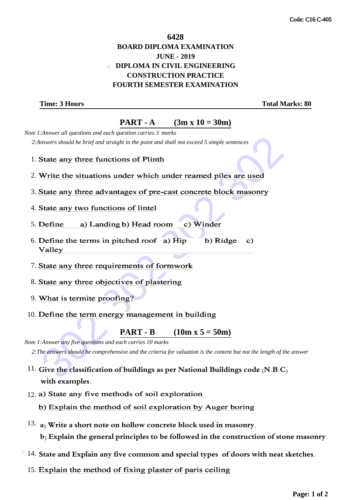## \* **6428 BOARD DIPLOMA EXAMINATION JUNE - 2019 DIPLOMA IN CIVIL ENGINEERING CONSTRUCTION PRACTICE FOURTH SEMESTER EXAMINATION**

**Time: 3 Hours Total Marks: 80** 

**PART - A** (3m x  $10 = 30$ m)

 *Note 1:Answer all questions and each question carries 3 marks 2:Answers should be brief and straight to the point and shall not exceed 5 simple sentences*

- 1. State any three functions of Plinth
- 2. Write the situations under which under reamed piles are used
- 3. State any three advantages of pre-cast concrete block masonry
- 4. State any two functions of lintel
- 5.
- 6. Define the terms in pitched roof a) Hip
- 7. State any three requirements of formwork
- 8. State any three objectives of plastering
- 9. What is termite proofing?
- 10. Define the term energy management in building

**PART - B** (10m x  $5 = 50$ m)

stayees should be brief and straight to the point and shall not exceed 5 simple sentences<br>
State any three functions of Plinth<br>
Write the situations under which under reamed piles are used<br>
State any three advantages of p  *Note 1:Answer any five questions and each carries 10 marks 2:The answers should be comprehensive and the criteria for valuation is the content but not the length of the answer*

- 11. **Give the classification of buildings as per National Buildings code (N.B.C) with examples.**
- 12. a) State any five methods of soil exploration

b) Explain the method of soil exploration by Auger boring

- 13. **a) Write a short note on hollow concrete block used in masonry. b) Explain the general principles to be followed in the construction of stone masonry.**
- $^{\star}$   $14.$  State and Explain any five common and special types  $\,$  of doors with neat sketches.
	- 15. Explain the method of fixing plaster of paris ceiling